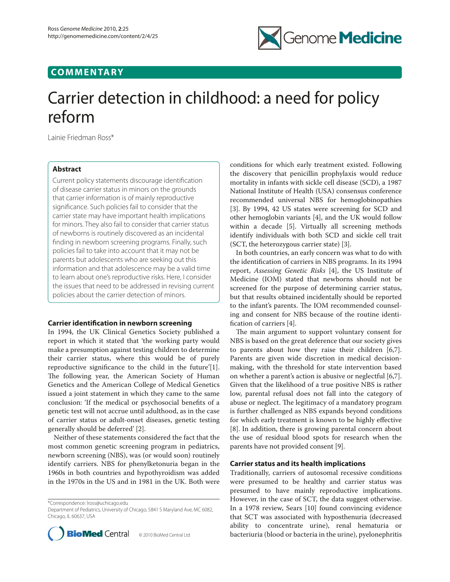## **COMMENTARY**



# Carrier detection in childhood: a need for policy reform

Lainie Friedman Ross\*

## **Abstract**

Current policy statements discourage identification of disease carrier status in minors on the grounds that carrier information is of mainly reproductive significance. Such policies fail to consider that the carrier state may have important health implications for minors. They also fail to consider that carrier status of newborns is routinely discovered as an incidental finding in newborn screening programs. Finally, such policies fail to take into account that it may not be parents but adolescents who are seeking out this information and that adolescence may be a valid time to learn about one's reproductive risks. Here, I consider the issues that need to be addressed in revising current policies about the carrier detection of minors.

## **Carrier identification in newborn screening**

In 1994, the UK Clinical Genetics Society published a report in which it stated that 'the working party would make a presumption against testing children to determine their carrier status, where this would be of purely reproductive significance to the child in the future'[1]. The following year, the American Society of Human Genetics and the American College of Medical Genetics issued a joint statement in which they came to the same conclusion: 'If the medical or psychosocial benefits of a genetic test will not accrue until adulthood, as in the case of carrier status or adult-onset diseases, genetic testing generally should be deferred' [2].

Neither of these statements considered the fact that the most common genetic screening program in pediatrics, newborn screening (NBS), was (or would soon) routinely identify carriers. NBS for phenylketonuria began in the 1960s in both countries and hypothyroidism was added in the 1970s in the US and in 1981 in the UK. Both were

\*Correspondence: lross@uchicago.edu

Department of Pediatrics, University of Chicago, 5841 S Maryland Ave, MC 6082, Chicago, IL 60637, USA



conditions for which early treatment existed. Following the discovery that penicillin prophylaxis would reduce mortality in infants with sickle cell disease (SCD), a 1987 National Institute of Health (USA) consensus conference recommended universal NBS for hemoglobinopathies [3]. By 1994, 42 US states were screening for SCD and other hemoglobin variants [4], and the UK would follow within a decade [5]. Virtually all screening methods identify individuals with both SCD and sickle cell trait (SCT, the heterozygous carrier state) [3].

In both countries, an early concern was what to do with the identification of carriers in NBS programs. In its 1994 report, *Assessing Genetic Risks* [4], the US Institute of Medicine (IOM) stated that newborns should not be screened for the purpose of determining carrier status, but that results obtained incidentally should be reported to the infant's parents. The IOM recommended counseling and consent for NBS because of the routine identification of carriers [4].

The main argument to support voluntary consent for NBS is based on the great deference that our society gives to parents about how they raise their children [6,7]. Parents are given wide discretion in medical decisionmaking, with the threshold for state intervention based on whether a parent's action is abusive or neglectful [6,7]. Given that the likelihood of a true positive NBS is rather low, parental refusal does not fall into the category of abuse or neglect. The legitimacy of a mandatory program is further challenged as NBS expands beyond conditions for which early treatment is known to be highly effective [8]. In addition, there is growing parental concern about the use of residual blood spots for research when the parents have not provided consent [9].

## **Carrier status and its health implications**

Traditionally, carriers of autosomal recessive conditions were presumed to be healthy and carrier status was presumed to have mainly reproductive implications. However, in the case of SCT, the data suggest otherwise. In a 1978 review, Sears [10] found convincing evidence that SCT was associated with hyposthenuria (decreased ability to concentrate urine), renal hematuria or bacteriuria (blood or bacteria in the urine), pyelonephritis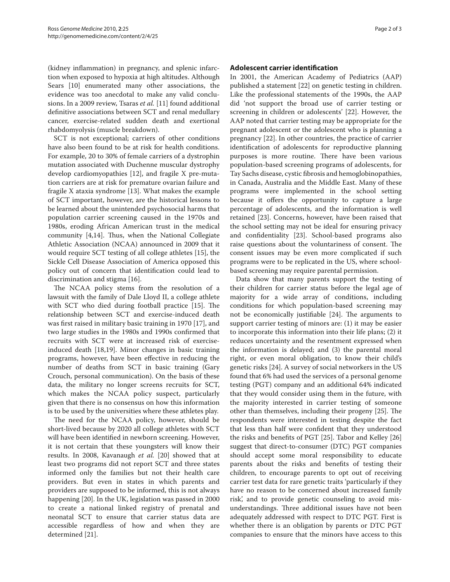(kidney inflammation) in pregnancy, and splenic infarction when exposed to hypoxia at high altitudes. Although Sears [10] enumerated many other associations, the evidence was too anecdotal to make any valid conclusions. In a 2009 review, Tsaras *et al.* [11] found additional definitive associations between SCT and renal medullary cancer, exercise-related sudden death and exertional rhabdomyolysis (muscle breakdown).

SCT is not exceptional; carriers of other conditions have also been found to be at risk for health conditions. For example, 20 to 30% of female carriers of a dystrophin mutation associated with Duchenne muscular dystrophy develop cardiomyopathies [12], and fragile X pre-mutation carriers are at risk for premature ovarian failure and fragile X ataxia syndrome [13]. What makes the example of SCT important, however, are the historical lessons to be learned about the unintended psychosocial harms that population carrier screening caused in the 1970s and 1980s, eroding African American trust in the medical community [4,14]. Thus, when the National Collegiate Athletic Association (NCAA) announced in 2009 that it would require SCT testing of all college athletes [15], the Sickle Cell Disease Association of America opposed this policy out of concern that identification could lead to discrimination and stigma [16].

The NCAA policy stems from the resolution of a lawsuit with the family of Dale Lloyd II, a college athlete with SCT who died during football practice [15]. The relationship between SCT and exercise-induced death was first raised in military basic training in 1970 [17], and two large studies in the 1980s and 1990s confirmed that recruits with SCT were at increased risk of exerciseinduced death [18,19]. Minor changes in basic training programs, however, have been effective in reducing the number of deaths from SCT in basic training (Gary Crouch, personal communication). On the basis of these data, the military no longer screens recruits for SCT, which makes the NCAA policy suspect, particularly given that there is no consensus on how this information is to be used by the universities where these athletes play.

The need for the NCAA policy, however, should be short-lived because by 2020 all college athletes with SCT will have been identified in newborn screening. However, it is not certain that these youngsters will know their results. In 2008, Kavanaugh *et al.* [20] showed that at least two programs did not report SCT and three states informed only the families but not their health care providers. But even in states in which parents and providers are supposed to be informed, this is not always happening [20]. In the UK, legislation was passed in 2000 to create a national linked registry of prenatal and neonatal SCT to ensure that carrier status data are accessible regardless of how and when they are determined [21].

## **Adolescent carrier identification**

In 2001, the American Academy of Pediatrics (AAP) published a statement [22] on genetic testing in children. Like the professional statements of the 1990s, the AAP did 'not support the broad use of carrier testing or screening in children or adolescents' [22]. However, the AAP noted that carrier testing may be appropriate for the pregnant adolescent or the adolescent who is planning a pregnancy [22]. In other countries, the practice of carrier identification of adolescents for reproductive planning purposes is more routine. There have been various population-based screening programs of adolescents, for Tay Sachs disease, cystic fibrosis and hemoglobinopathies, in Canada, Australia and the Middle East. Many of these programs were implemented in the school setting because it offers the opportunity to capture a large percentage of adolescents, and the information is well retained [23]. Concerns, however, have been raised that the school setting may not be ideal for ensuring privacy and confidentiality [23]. School-based programs also raise questions about the voluntariness of consent. The consent issues may be even more complicated if such programs were to be replicated in the US, where schoolbased screening may require parental permission.

Data show that many parents support the testing of their children for carrier status before the legal age of majority for a wide array of conditions, including conditions for which population-based screening may not be economically justifiable [24]. The arguments to support carrier testing of minors are: (1) it may be easier to incorporate this information into their life plans; (2) it reduces uncertainty and the resentment expressed when the information is delayed; and (3) the parental moral right, or even moral obligation, to know their child's genetic risks [24]. A survey of social networkers in the US found that 6% had used the services of a personal genome testing (PGT) company and an additional 64% indicated that they would consider using them in the future, with the majority interested in carrier testing of someone other than themselves, including their progeny [25]. The respondents were interested in testing despite the fact that less than half were confident that they understood the risks and benefits of PGT [25]. Tabor and Kelley [26] suggest that direct-to-consumer (DTC) PGT companies should accept some moral responsibility to educate parents about the risks and benefits of testing their children, to encourage parents to opt out of receiving carrier test data for rare genetic traits 'particularly if they have no reason to be concerned about increased family risk', and to provide genetic counseling to avoid misunderstandings. Three additional issues have not been adequately addressed with respect to DTC PGT. First is whether there is an obligation by parents or DTC PGT companies to ensure that the minors have access to this